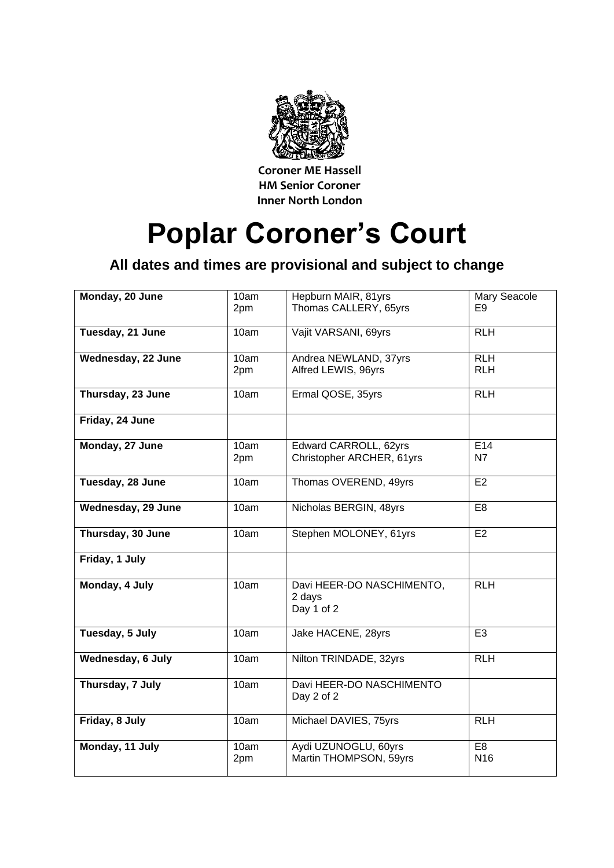

**Coroner ME Hassell HM Senior Coroner Inner North London**

## **Poplar Coroner's Court**

## **All dates and times are provisional and subject to change**

| Monday, 20 June    | 10am<br>2pm | Hepburn MAIR, 81yrs<br>Thomas CALLERY, 65yrs       | <b>Mary Seacole</b><br>E9         |
|--------------------|-------------|----------------------------------------------------|-----------------------------------|
| Tuesday, 21 June   | 10am        | Vajit VARSANI, 69yrs                               | <b>RLH</b>                        |
| Wednesday, 22 June | 10am<br>2pm | Andrea NEWLAND, 37yrs<br>Alfred LEWIS, 96yrs       | <b>RLH</b><br><b>RLH</b>          |
| Thursday, 23 June  | 10am        | Ermal QOSE, 35yrs                                  | <b>RLH</b>                        |
| Friday, 24 June    |             |                                                    |                                   |
| Monday, 27 June    | 10am<br>2pm | Edward CARROLL, 62yrs<br>Christopher ARCHER, 61yrs | E14<br>N7                         |
| Tuesday, 28 June   | 10am        | Thomas OVEREND, 49yrs                              | E <sub>2</sub>                    |
| Wednesday, 29 June | 10am        | Nicholas BERGIN, 48yrs                             | E <sub>8</sub>                    |
| Thursday, 30 June  | 10am        | Stephen MOLONEY, 61yrs                             | E2                                |
| Friday, 1 July     |             |                                                    |                                   |
| Monday, 4 July     | 10am        | Davi HEER-DO NASCHIMENTO,<br>2 days<br>Day 1 of 2  | R <sub>TH</sub>                   |
| Tuesday, 5 July    | 10am        | Jake HACENE, 28yrs                                 | E <sub>3</sub>                    |
| Wednesday, 6 July  | 10am        | Nilton TRINDADE, 32yrs                             | <b>RLH</b>                        |
| Thursday, 7 July   | 10am        | Davi HEER-DO NASCHIMENTO<br>Day 2 of 2             |                                   |
| Friday, 8 July     | 10am        | Michael DAVIES, 75yrs                              | <b>RLH</b>                        |
| Monday, 11 July    | 10am<br>2pm | Aydi UZUNOGLU, 60yrs<br>Martin THOMPSON, 59yrs     | E <sub>8</sub><br>N <sub>16</sub> |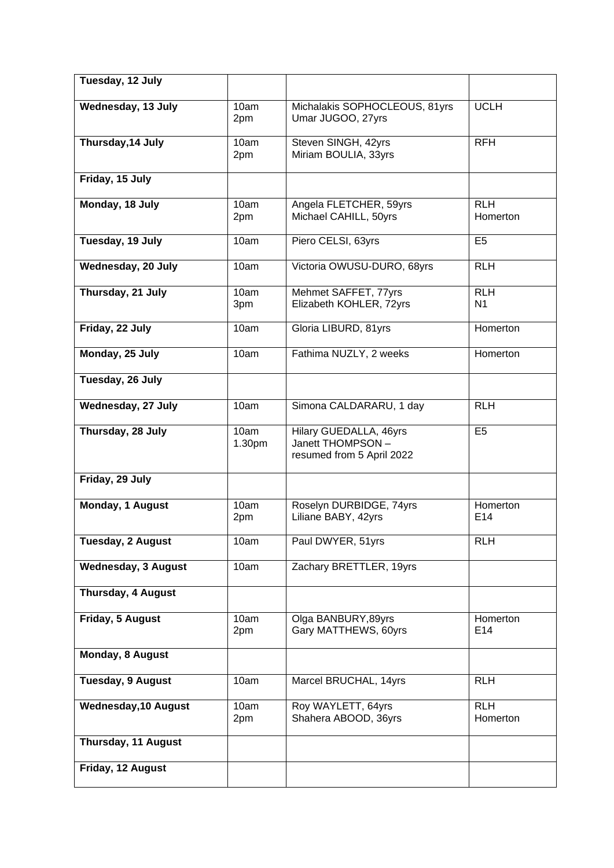| Tuesday, 12 July            |                |                                                                          |                              |
|-----------------------------|----------------|--------------------------------------------------------------------------|------------------------------|
| Wednesday, 13 July          | 10am<br>2pm    | Michalakis SOPHOCLEOUS, 81yrs<br>Umar JUGOO, 27yrs                       | <b>UCLH</b>                  |
| Thursday, 14 July           | 10am<br>2pm    | Steven SINGH, 42yrs<br>Miriam BOULIA, 33yrs                              | <b>RFH</b>                   |
| Friday, 15 July             |                |                                                                          |                              |
| Monday, 18 July             | 10am<br>2pm    | Angela FLETCHER, 59yrs<br>Michael CAHILL, 50yrs                          | <b>RLH</b><br>Homerton       |
| Tuesday, 19 July            | 10am           | Piero CELSI, 63yrs                                                       | E <sub>5</sub>               |
| Wednesday, 20 July          | 10am           | Victoria OWUSU-DURO, 68yrs                                               | <b>RLH</b>                   |
| Thursday, 21 July           | 10am<br>3pm    | Mehmet SAFFET, 77yrs<br>Elizabeth KOHLER, 72yrs                          | <b>RLH</b><br>N <sub>1</sub> |
| Friday, 22 July             | 10am           | Gloria LIBURD, 81yrs                                                     | Homerton                     |
| Monday, 25 July             | 10am           | Fathima NUZLY, 2 weeks                                                   | Homerton                     |
| Tuesday, 26 July            |                |                                                                          |                              |
| Wednesday, 27 July          | 10am           | Simona CALDARARU, 1 day                                                  | <b>RLH</b>                   |
| Thursday, 28 July           | 10am<br>1.30pm | Hilary GUEDALLA, 46yrs<br>Janett THOMPSON -<br>resumed from 5 April 2022 | E <sub>5</sub>               |
| Friday, 29 July             |                |                                                                          |                              |
| Monday, 1 August            | 10am<br>2pm    | Roselyn DURBIDGE, 74yrs<br>Liliane BABY, 42yrs                           | Homerton<br>E <sub>14</sub>  |
| <b>Tuesday, 2 August</b>    | 10am           | Paul DWYER, 51yrs                                                        | <b>RLH</b>                   |
| <b>Wednesday, 3 August</b>  | 10am           | Zachary BRETTLER, 19yrs                                                  |                              |
| Thursday, 4 August          |                |                                                                          |                              |
| Friday, 5 August            | 10am<br>2pm    | Olga BANBURY, 89yrs<br>Gary MATTHEWS, 60yrs                              | Homerton<br>E14              |
| Monday, 8 August            |                |                                                                          |                              |
| <b>Tuesday, 9 August</b>    | 10am           | Marcel BRUCHAL, 14yrs                                                    | <b>RLH</b>                   |
| <b>Wednesday, 10 August</b> | 10am<br>2pm    | Roy WAYLETT, 64yrs<br>Shahera ABOOD, 36yrs                               | <b>RLH</b><br>Homerton       |
| Thursday, 11 August         |                |                                                                          |                              |
| Friday, 12 August           |                |                                                                          |                              |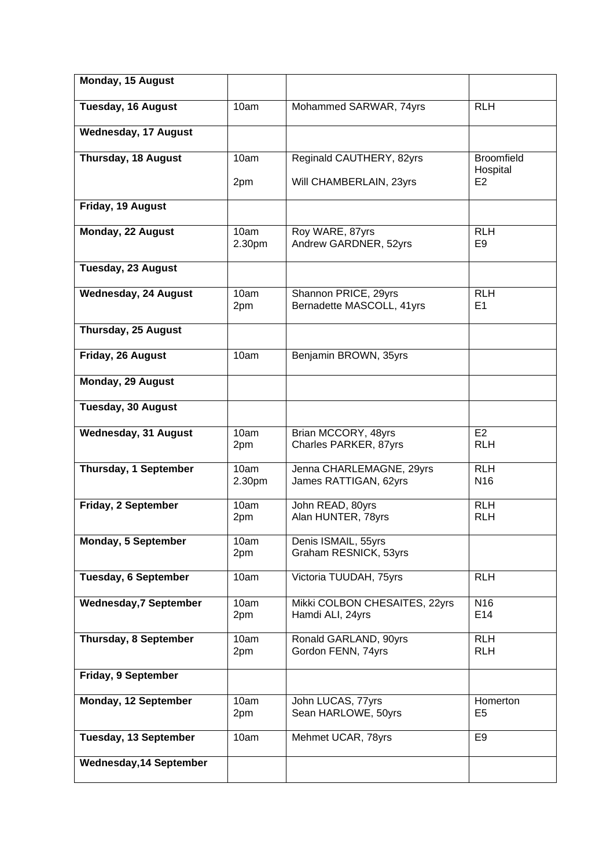| Monday, 15 August              |                |                                                   |                               |
|--------------------------------|----------------|---------------------------------------------------|-------------------------------|
| <b>Tuesday, 16 August</b>      | 10am           | Mohammed SARWAR, 74yrs                            | <b>RLH</b>                    |
| <b>Wednesday, 17 August</b>    |                |                                                   |                               |
| Thursday, 18 August            | 10am           | Reginald CAUTHERY, 82yrs                          | <b>Broomfield</b><br>Hospital |
|                                | 2pm            | Will CHAMBERLAIN, 23yrs                           | E <sub>2</sub>                |
| Friday, 19 August              |                |                                                   |                               |
| Monday, 22 August              | 10am<br>2.30pm | Roy WARE, 87yrs<br>Andrew GARDNER, 52yrs          | <b>RLH</b><br>E <sub>9</sub>  |
| Tuesday, 23 August             |                |                                                   |                               |
| <b>Wednesday, 24 August</b>    | 10am<br>2pm    | Shannon PRICE, 29yrs<br>Bernadette MASCOLL, 41yrs | <b>RLH</b><br>E1              |
| Thursday, 25 August            |                |                                                   |                               |
| Friday, 26 August              | 10am           | Benjamin BROWN, 35yrs                             |                               |
| Monday, 29 August              |                |                                                   |                               |
| <b>Tuesday, 30 August</b>      |                |                                                   |                               |
| <b>Wednesday, 31 August</b>    | 10am<br>2pm    | Brian MCCORY, 48yrs<br>Charles PARKER, 87yrs      | E2<br><b>RLH</b>              |
| Thursday, 1 September          | 10am<br>2.30pm | Jenna CHARLEMAGNE, 29yrs<br>James RATTIGAN, 62yrs | <b>RLH</b><br>N <sub>16</sub> |
| Friday, 2 September            | 10am<br>2pm    | John READ, 80yrs<br>Alan HUNTER, 78yrs            | <b>RLH</b><br><b>RLH</b>      |
| Monday, 5 September            | 10am<br>2pm    | Denis ISMAIL, 55yrs<br>Graham RESNICK, 53yrs      |                               |
| <b>Tuesday, 6 September</b>    | 10am           | Victoria TUUDAH, 75yrs                            | <b>RLH</b>                    |
| <b>Wednesday, 7 September</b>  | 10am<br>2pm    | Mikki COLBON CHESAITES, 22yrs<br>Hamdi ALI, 24yrs | N <sub>16</sub><br>E14        |
| Thursday, 8 September          | 10am<br>2pm    | Ronald GARLAND, 90yrs<br>Gordon FENN, 74yrs       | <b>RLH</b><br><b>RLH</b>      |
| Friday, 9 September            |                |                                                   |                               |
| Monday, 12 September           | 10am<br>2pm    | John LUCAS, 77yrs<br>Sean HARLOWE, 50yrs          | Homerton<br>E <sub>5</sub>    |
| Tuesday, 13 September          | 10am           | Mehmet UCAR, 78yrs                                | E9                            |
| <b>Wednesday, 14 September</b> |                |                                                   |                               |